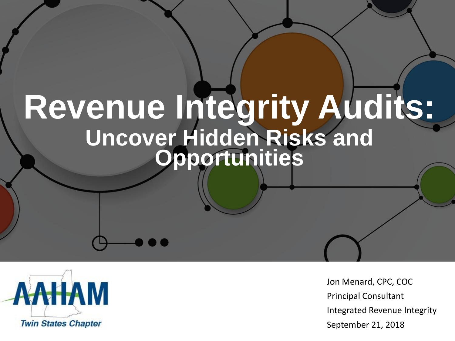# **Revenue Integrity Audits: Uncover Hidden Risks and Opportunities**



Jon Menard, CPC, COC Principal Consultant Integrated Revenue Integrity September 21, 2018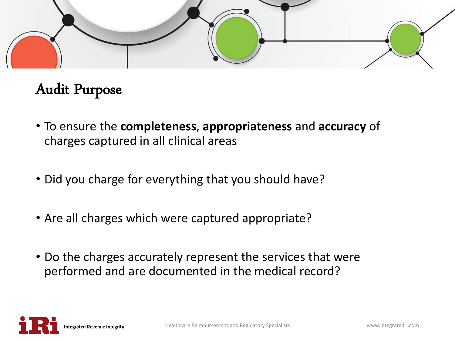

#### Audit Purpose

- To ensure the **completeness**, **appropriateness** and **accuracy** of charges captured in all clinical areas
- Did you charge for everything that you should have?
- Are all charges which were captured appropriate?
- Do the charges accurately represent the services that were performed and are documented in the medical record?

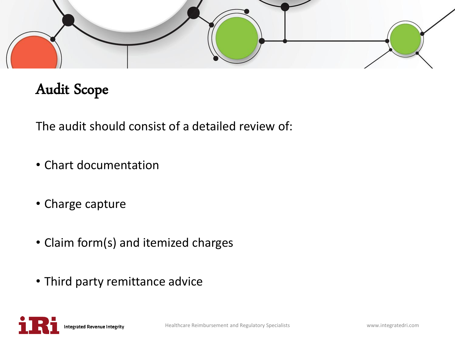

# Audit Scope

The audit should consist of a detailed review of:

- Chart documentation
- Charge capture
- Claim form(s) and itemized charges
- Third party remittance advice

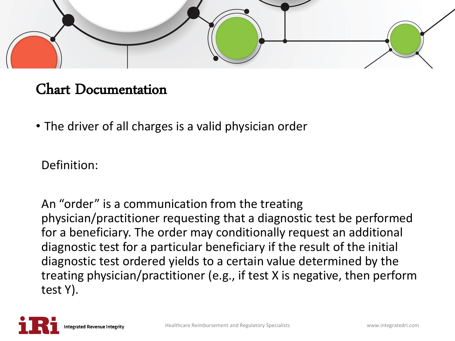

#### Chart Documentation

• The driver of all charges is a valid physician order

Definition:

An "order" is a communication from the treating physician/practitioner requesting that a diagnostic test be performed for a beneficiary. The order may conditionally request an additional diagnostic test for a particular beneficiary if the result of the initial diagnostic test ordered yields to a certain value determined by the treating physician/practitioner (e.g., if test X is negative, then perform test Y).

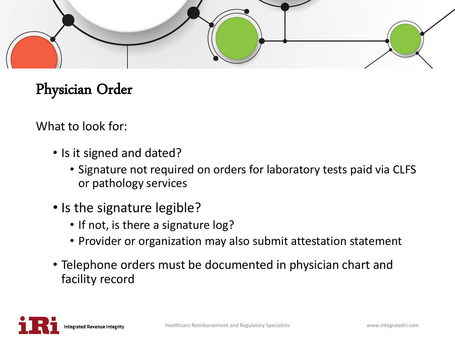

# Physician Order

What to look for:

- Is it signed and dated?
	- Signature not required on orders for laboratory tests paid via CLFS or pathology services
- Is the signature legible?
	- If not, is there a signature log?
	- Provider or organization may also submit attestation statement
- Telephone orders must be documented in physician chart and facility record

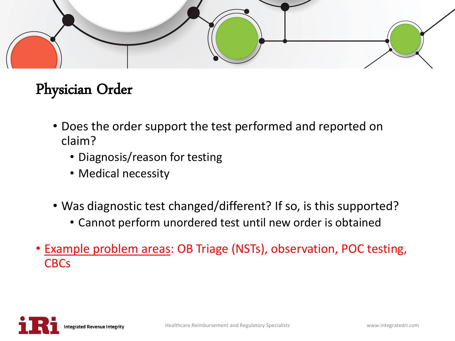

# Physician Order

- Does the order support the test performed and reported on claim?
	- Diagnosis/reason for testing
	- Medical necessity
- Was diagnostic test changed/different? If so, is this supported?
	- Cannot perform unordered test until new order is obtained
- Example problem areas: OB Triage (NSTs), observation, POC testing, **CBCs**

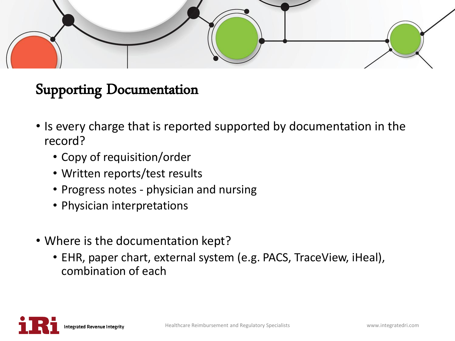

#### Supporting Documentation

- Is every charge that is reported supported by documentation in the record?
	- Copy of requisition/order
	- Written reports/test results
	- Progress notes physician and nursing
	- Physician interpretations
- Where is the documentation kept?
	- EHR, paper chart, external system (e.g. PACS, TraceView, iHeal), combination of each

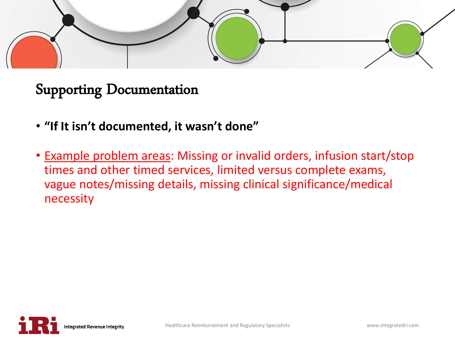

Supporting Documentation

- **"If It isn't documented, it wasn't done"**
- Example problem areas: Missing or invalid orders, infusion start/stop times and other timed services, limited versus complete exams, vague notes/missing details, missing clinical significance/medical necessity

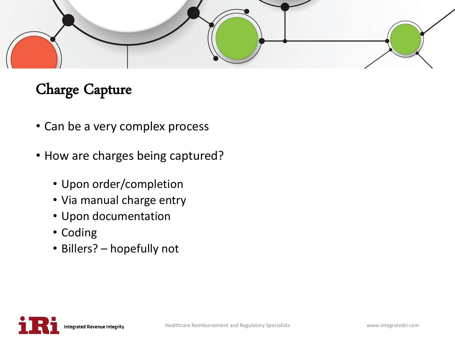

- Can be a very complex process
- How are charges being captured?
	- Upon order/completion
	- Via manual charge entry
	- Upon documentation
	- Coding
	- Billers? hopefully not

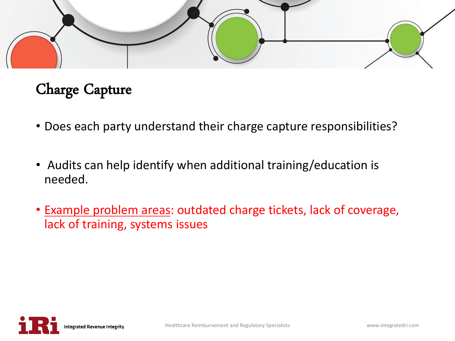

- Does each party understand their charge capture responsibilities?
- Audits can help identify when additional training/education is needed.
- Example problem areas: outdated charge tickets, lack of coverage, lack of training, systems issues

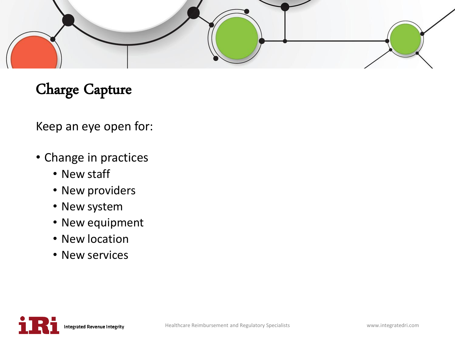

Keep an eye open for:

- Change in practices
	- New staff
	- New providers
	- New system
	- New equipment
	- New location
	- New services

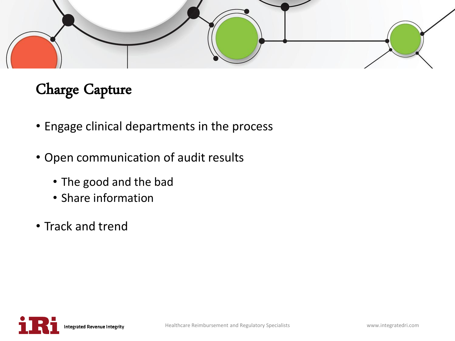

- Engage clinical departments in the process
- Open communication of audit results
	- The good and the bad
	- Share information
- Track and trend

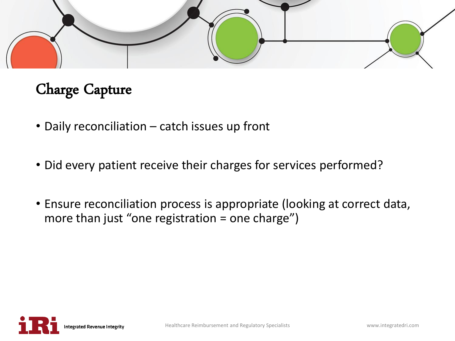

- Daily reconciliation catch issues up front
- Did every patient receive their charges for services performed?
- Ensure reconciliation process is appropriate (looking at correct data, more than just "one registration  $=$  one charge")

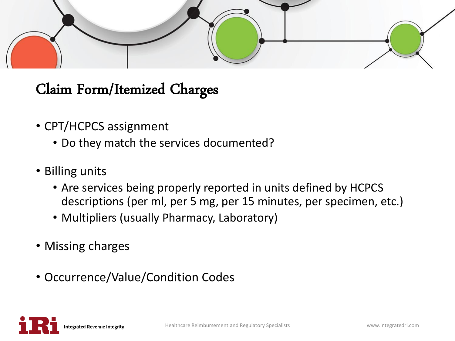

- CPT/HCPCS assignment
	- Do they match the services documented?
- Billing units
	- Are services being properly reported in units defined by HCPCS descriptions (per ml, per 5 mg, per 15 minutes, per specimen, etc.)
	- Multipliers (usually Pharmacy, Laboratory)
- Missing charges
- Occurrence/Value/Condition Codes

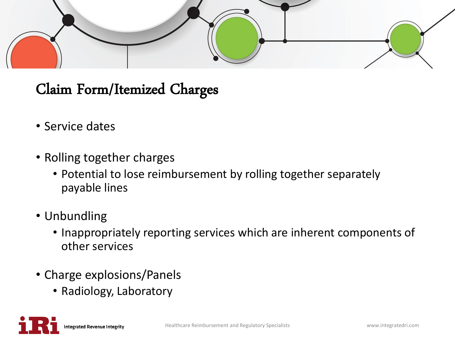

- Service dates
- Rolling together charges
	- Potential to lose reimbursement by rolling together separately payable lines
- Unbundling
	- Inappropriately reporting services which are inherent components of other services
- Charge explosions/Panels
	- Radiology, Laboratory

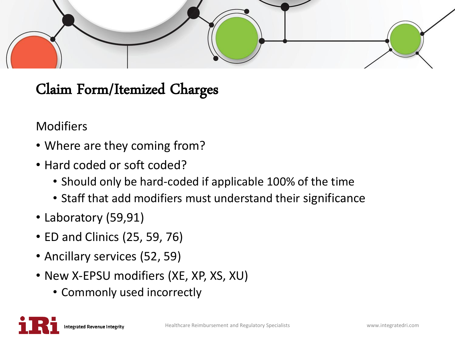

#### Modifiers

- Where are they coming from?
- Hard coded or soft coded?
	- Should only be hard-coded if applicable 100% of the time
	- Staff that add modifiers must understand their significance
- Laboratory (59,91)
- ED and Clinics (25, 59, 76)
- Ancillary services (52, 59)
- New X-EPSU modifiers (XE, XP, XS, XU)
	- Commonly used incorrectly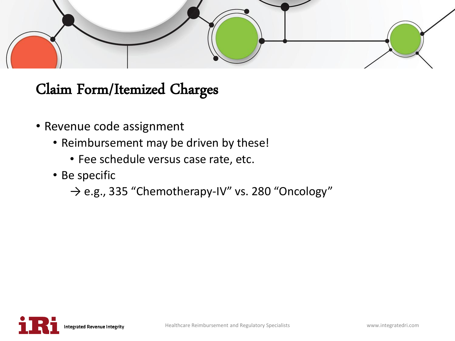

- Revenue code assignment
	- Reimbursement may be driven by these!
		- Fee schedule versus case rate, etc.
	- Be specific
		- $\rightarrow$  e.g., 335 "Chemotherapy-IV" vs. 280 "Oncology"

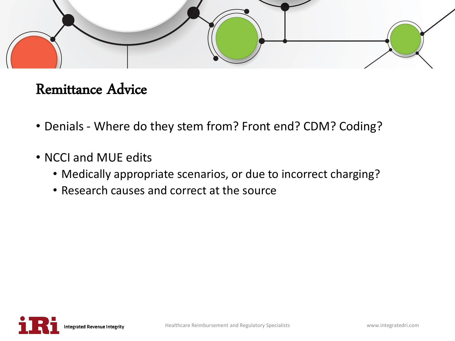

#### Remittance Advice

- Denials Where do they stem from? Front end? CDM? Coding?
- NCCI and MUE edits
	- Medically appropriate scenarios, or due to incorrect charging?
	- Research causes and correct at the source

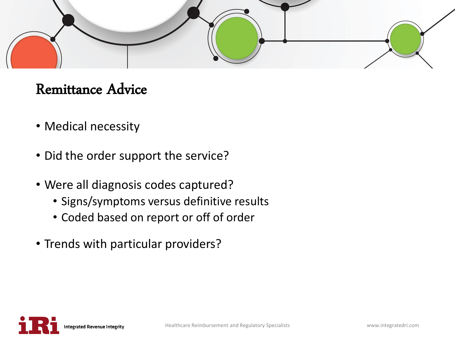

#### Remittance Advice

- Medical necessity
- Did the order support the service?
- Were all diagnosis codes captured?
	- Signs/symptoms versus definitive results
	- Coded based on report or off of order
- Trends with particular providers?

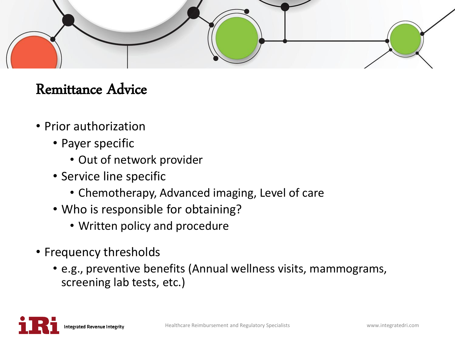

#### Remittance Advice

- Prior authorization
	- Payer specific
		- Out of network provider
	- Service line specific
		- Chemotherapy, Advanced imaging, Level of care
	- Who is responsible for obtaining?
		- Written policy and procedure
- Frequency thresholds
	- e.g., preventive benefits (Annual wellness visits, mammograms, screening lab tests, etc.)

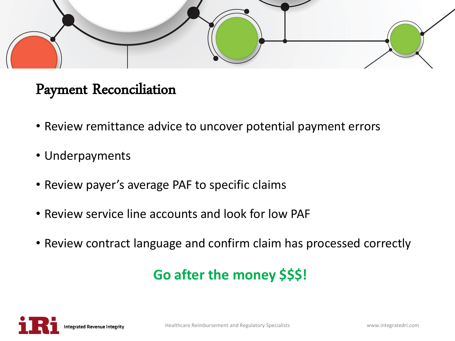

#### Payment Reconciliation

- Review remittance advice to uncover potential payment errors
- Underpayments
- Review payer's average PAF to specific claims
- Review service line accounts and look for low PAF
- Review contract language and confirm claim has processed correctly

#### **Go after the money \$\$\$!**

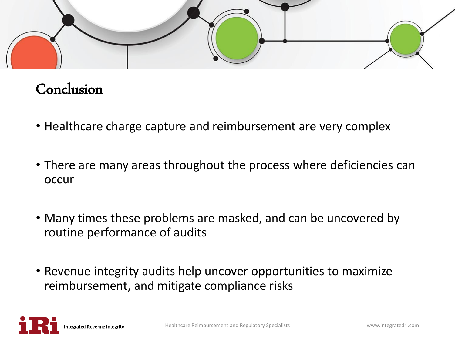

#### Conclusion

- Healthcare charge capture and reimbursement are very complex
- There are many areas throughout the process where deficiencies can occur
- Many times these problems are masked, and can be uncovered by routine performance of audits
- Revenue integrity audits help uncover opportunities to maximize reimbursement, and mitigate compliance risks